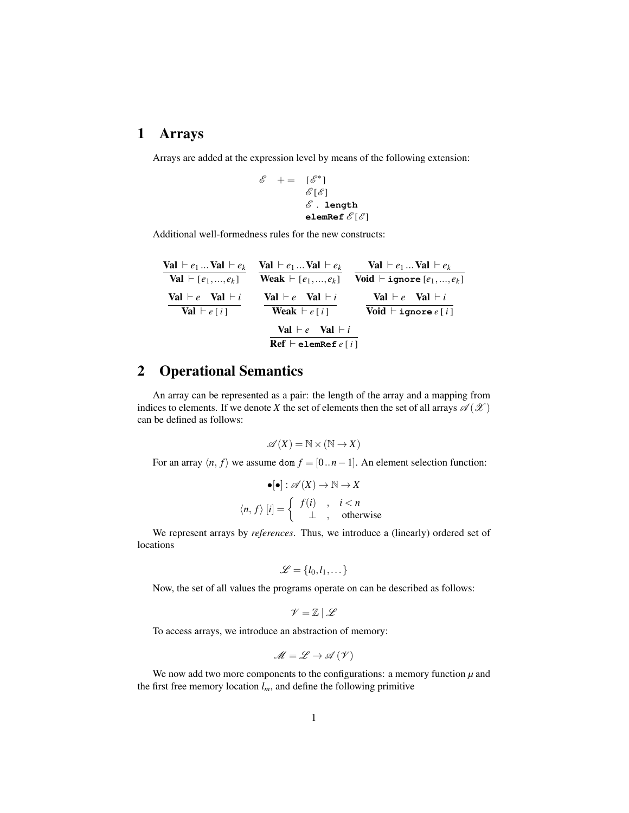## 1 Arrays

Arrays are added at the expression level by means of the following extension:

$$
\begin{array}{rcl} \mathscr{E} & + = & [\mathscr{E}^*] \\ & & \mathscr{E}[\mathscr{E}] \\ & & \mathscr{E} \ . \ \texttt{length} \\ & & \texttt{elemRef\,} \mathscr{E}[\mathscr{E}] \end{array}
$$

Additional well-formedness rules for the new constructs:

| Val $\vdash e_1 \dots$ Val $\vdash e_k$ | $Val \vdash e_1  Val \vdash e_k$               | Val $\vdash e_1 \dots$ Val $\vdash e_k$ |
|-----------------------------------------|------------------------------------------------|-----------------------------------------|
| <b>Val</b> $\vdash [e_1, , e_k]$        | <b>Weak</b> $\vdash [e_1, , e_k]$              | Void $\vdash$ ignore $[e_1, , e_k]$     |
| $Val \vdash e \; Val \vdash i$          | $Val \vdash e \; Val \vdash i$                 | $Val \vdash e \; Val \vdash i$          |
| <b>Val</b> $\vdash e[i]$                | <b>Weak</b> $\vdash e[i]$                      | Void $\vdash$ ignore $e[i]$             |
|                                         | $Val \vdash e \; Val \vdash i$                 |                                         |
|                                         | $\text{Ref} \vdash \texttt{elementef} \, e[i]$ |                                         |

## 2 Operational Semantics

An array can be represented as a pair: the length of the array and a mapping from indices to elements. If we denote *X* the set of elements then the set of all arrays  $\mathscr{A}(X)$ can be defined as follows:

$$
\mathscr{A}(X) = \mathbb{N} \times (\mathbb{N} \to X)
$$

For an array  $\langle n, f \rangle$  we assume dom  $f = [0..n-1]$ . An element selection function:

$$
\bullet[\bullet]: \mathscr{A}(X) \to \mathbb{N} \to X
$$

$$
\langle n, f \rangle [i] = \left\{ \begin{array}{ccc} f(i) & , & i < n \\ \bot & , & \text{otherwise} \end{array} \right.
$$

We represent arrays by *references*. Thus, we introduce a (linearly) ordered set of locations

$$
\mathcal{L} = \{l_0, l_1, \dots\}
$$

Now, the set of all values the programs operate on can be described as follows:

$$
\mathscr{V}=\mathbb{Z}\mid \mathscr{L}
$$

To access arrays, we introduce an abstraction of memory:

$$
\mathscr{M}=\mathscr{L}\to\mathscr{A}\left(\mathscr{V}\right)
$$

We now add two more components to the configurations: a memory function  $\mu$  and the first free memory location  $l_m$ , and define the following primitive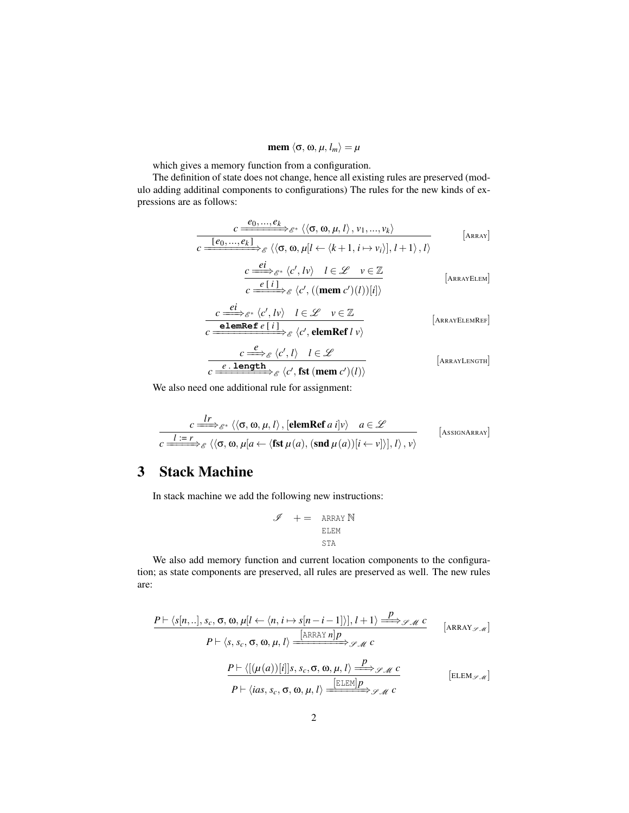$$
\textbf{mem } \langle \sigma, \omega, \mu, l_m \rangle = \mu
$$

which gives a memory function from a configuration.

The definition of state does not change, hence all existing rules are preserved (modulo adding additinal components to configurations) The rules for the new kinds of expressions are as follows:

$$
\frac{c \xrightarrow{e_0, \ldots, e_k} \mathcal{E}^* \langle \langle \sigma, \omega, \mu, l \rangle, v_1, \ldots, v_k \rangle}{c \xrightarrow{[e_0, \ldots, e_k]} \mathcal{E} \langle \langle \sigma, \omega, \mu | l \leftarrow \langle k+1, i \mapsto v_i \rangle], l+1 \rangle, l \rangle}
$$
\n[
$$
\xrightarrow{c \xrightarrow{ei} \mathcal{E}^* \langle c', l \nu \rangle} l \in \mathcal{L} \quad v \in \mathbb{Z}
$$
\n[
$$
\xrightarrow{R \text{RAYELEM}}
$$

$$
\overline{c \xrightarrow{e[i]}} \varepsilon \langle c', ((\text{mem } c')(l))[i] \rangle
$$
\n
$$
\xrightarrow{ei} \varepsilon^* \langle c', lv \rangle \quad l \in \mathcal{L} \quad v \in \mathbb{Z}
$$
\n[Answer 2.2]

$$
c \xrightarrow{c \xrightarrow{c}{\text{cl}} \mathscr{E}^*} \langle c', l v \rangle \quad l \in \mathscr{L} \quad v \in \mathbb{Z}
$$
\n
$$
c \xrightarrow{\text{elemRef } e[i]} \mathscr{E} \langle c', \text{elemRef } l v \rangle
$$
\n[ARRAYELEMREF]

$$
\frac{c \stackrel{\mathcal{e}}{\Longrightarrow}_{\mathcal{E}} \langle c', l \rangle \quad l \in \mathcal{L}}{c \stackrel{e.\text{length}}{\Longrightarrow}_{\mathcal{E}} \langle c', \text{fst } (\text{mem } c')(l) \rangle} \qquad \qquad [\text{Arraylength}]
$$

We also need one additional rule for assignment:

$$
\frac{c \xrightarrow{l} r}{c \xrightarrow{l} \varepsilon^* \langle \langle \sigma, \omega, \mu, l \rangle, [\text{elemRef } a \, i] \nu \rangle} \quad a \in \mathscr{L}
$$
\n
$$
\overline{c \xrightarrow{l} \varepsilon^* \langle \langle \sigma, \omega, \mu[a \leftarrow \langle \text{fst } \mu(a), (\text{snd } \mu(a))[i \leftarrow v] \rangle], l \rangle, \nu \rangle} \quad \text{[AsssonARRay]}
$$

## 3 Stack Machine

In stack machine we add the following new instructions:

$$
\begin{array}{lcl} \mathscr{I} & + = & \text{ARRAY N} \\ & \text{ELEM} \\ & \text{STA} \end{array}
$$

We also add memory function and current location components to the configuration; as state components are preserved, all rules are preserved as well. The new rules are:

$$
\frac{P \vdash \langle s[n,..], s_c, \sigma, \omega, \mu[l \leftarrow \langle n, i \mapsto s[n-i-1] \rangle], l+1 \rangle \xrightarrow{P} \mathscr{S} \mathscr{M} C}{P \vdash \langle s, s_c, \sigma, \omega, \mu, l \rangle \xrightarrow{\text{[ARRAY } n|p} \mathscr{S} \mathscr{M} C} \qquad \text{[ARRAY } \mathscr{S} \mathscr{M} \text{]}
$$
\n
$$
\frac{P \vdash \langle [(\mu(a))[i]]s, s_c, \sigma, \omega, \mu, l \rangle \xrightarrow{P} \mathscr{S} \mathscr{M} C}{P \vdash \langle ias, s_c, \sigma, \omega, \mu, l \rangle \xrightarrow{\text{[ELEM]}P} \mathscr{S} \mathscr{M} C} \qquad \text{[ELEM } \mathscr{S} \mathscr{M} \text{]}
$$